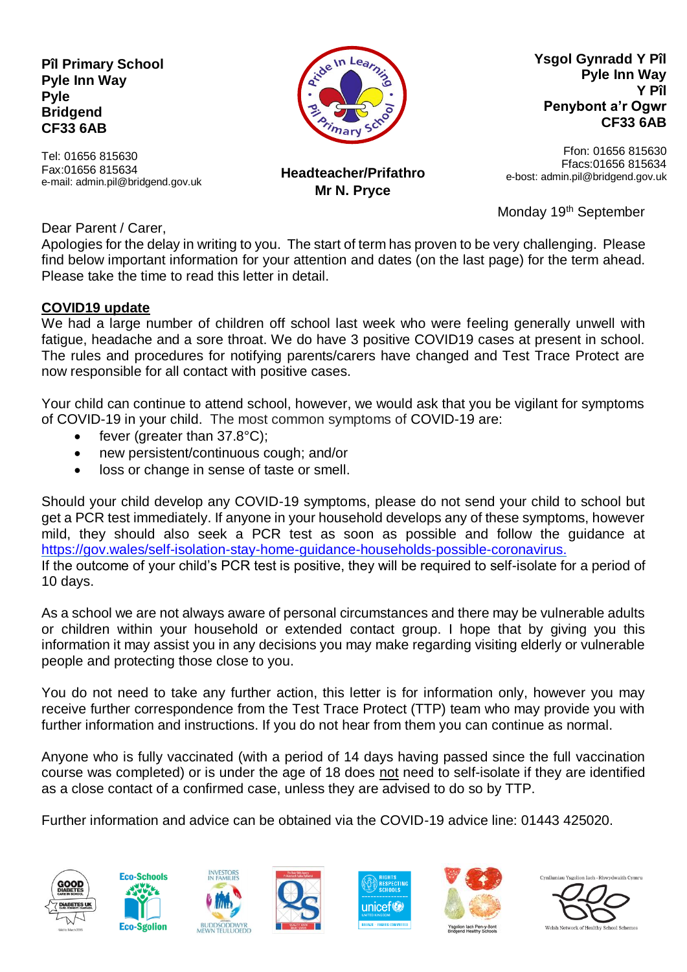**Pîl Primary School Pyle Inn Way Pyle Bridgend CF33 6AB**

Tel: 01656 815630 Fax:01656 815634 e-mail: admin.pil@bridgend.gov.uk



**Ysgol Gynradd Y Pîl Pyle Inn Way Y Pîl Penybont a'r Ogwr CF33 6AB**

> Ffon: 01656 815630 Ffacs:01656 815634

**Headteacher/Prifathro Mr N. Pryce**

e-bost: admin.pil@bridgend.gov.uk

Monday 19<sup>th</sup> September

Dear Parent / Carer,

Apologies for the delay in writing to you. The start of term has proven to be very challenging. Please find below important information for your attention and dates (on the last page) for the term ahead. Please take the time to read this letter in detail.

#### **COVID19 update**

We had a large number of children off school last week who were feeling generally unwell with fatigue, headache and a sore throat. We do have 3 positive COVID19 cases at present in school. The rules and procedures for notifying parents/carers have changed and Test Trace Protect are now responsible for all contact with positive cases.

Your child can continue to attend school, however, we would ask that you be vigilant for symptoms of COVID-19 in your child. The most common symptoms of COVID-19 are:

- $\bullet$  fever (greater than 37.8 $^{\circ}$ C):
- new persistent/continuous cough; and/or
- loss or change in sense of taste or smell.

Should your child develop any COVID-19 symptoms, please do not send your child to school but get a PCR test immediately. If anyone in your household develops any of these symptoms, however mild, they should also seek a PCR test as soon as possible and follow the guidance at [https://gov.wales/self-isolation-stay-home-guidance-households-possible-coronavirus.](https://gov.wales/self-isolation-stay-home-guidance-households-possible-coronavirus) If the outcome of your child's PCR test is positive, they will be required to self-isolate for a period of 10 days.

As a school we are not always aware of personal circumstances and there may be vulnerable adults or children within your household or extended contact group. I hope that by giving you this information it may assist you in any decisions you may make regarding visiting elderly or vulnerable people and protecting those close to you.

You do not need to take any further action, this letter is for information only, however you may receive further correspondence from the Test Trace Protect (TTP) team who may provide you with further information and instructions. If you do not hear from them you can continue as normal.

Anyone who is fully vaccinated (with a period of 14 days having passed since the full vaccination course was completed) or is under the age of 18 does not need to self-isolate if they are identified as a close contact of a confirmed case, unless they are advised to do so by TTP.

Further information and advice can be obtained via the COVID-19 advice line: 01443 425020.













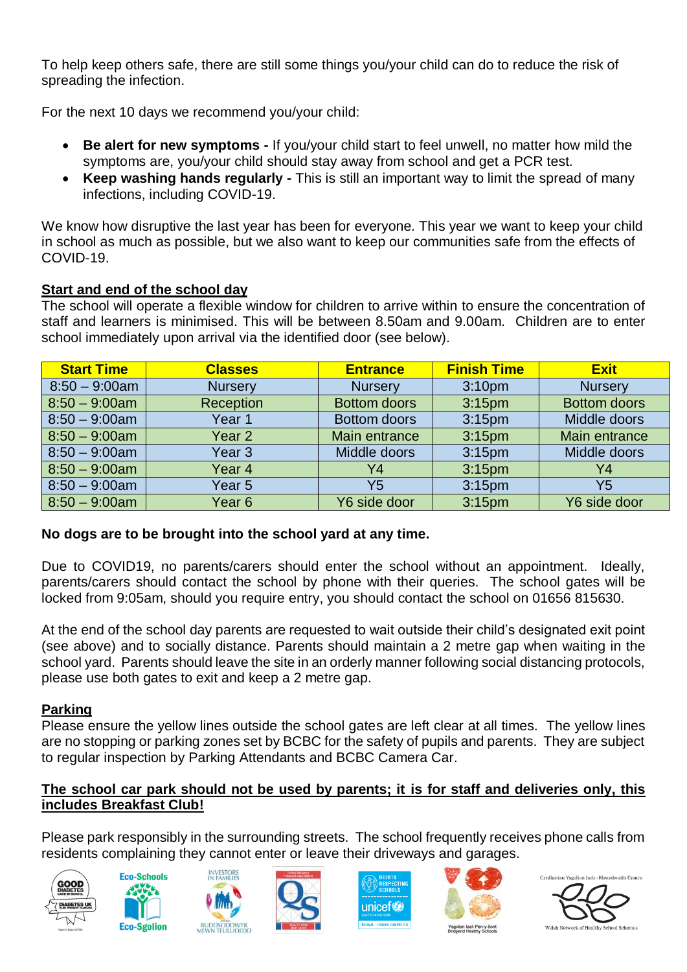To help keep others safe, there are still some things you/your child can do to reduce the risk of spreading the infection.

For the next 10 days we recommend you/your child:

- **Be alert for new symptoms -** If you/your child start to feel unwell, no matter how mild the symptoms are, you/your child should stay away from school and get a PCR test.
- **Keep washing hands regularly -** This is still an important way to limit the spread of many infections, including COVID-19.

We know how disruptive the last year has been for everyone. This year we want to keep your child in school as much as possible, but we also want to keep our communities safe from the effects of COVID-19.

### **Start and end of the school day**

The school will operate a flexible window for children to arrive within to ensure the concentration of staff and learners is minimised. This will be between 8.50am and 9.00am. Children are to enter school immediately upon arrival via the identified door (see below).

| <b>Start Time</b> | <b>Classes</b> | <b>Entrance</b>     | <b>Finish Time</b> | <b>Exit</b>         |
|-------------------|----------------|---------------------|--------------------|---------------------|
| $8:50 - 9:00$ am  | <b>Nursery</b> | <b>Nursery</b>      | 3:10 <sub>pm</sub> | <b>Nursery</b>      |
| $8:50 - 9:00$ am  | Reception      | <b>Bottom doors</b> | 3:15 <sub>pm</sub> | <b>Bottom doors</b> |
| $8:50 - 9:00$ am  | Year 1         | <b>Bottom doors</b> | 3:15 <sub>pm</sub> | Middle doors        |
| $8:50 - 9:00$ am  | Year 2         | Main entrance       | 3:15 <sub>pm</sub> | Main entrance       |
| $8:50 - 9:00$ am  | Year 3         | Middle doors        | 3:15 <sub>pm</sub> | Middle doors        |
| $8:50 - 9:00$ am  | Year 4         | Y4                  | 3:15 <sub>pm</sub> | Y4                  |
| $8:50 - 9:00$ am  | Year 5         | Y5                  | 3:15 <sub>pm</sub> | Y <sub>5</sub>      |
| $8:50 - 9:00$ am  | Year 6         | Y6 side door        | 3:15 <sub>pm</sub> | Y6 side door        |

## **No dogs are to be brought into the school yard at any time.**

Due to COVID19, no parents/carers should enter the school without an appointment. Ideally, parents/carers should contact the school by phone with their queries. The school gates will be locked from 9:05am, should you require entry, you should contact the school on 01656 815630.

At the end of the school day parents are requested to wait outside their child's designated exit point (see above) and to socially distance. Parents should maintain a 2 metre gap when waiting in the school yard. Parents should leave the site in an orderly manner following social distancing protocols, please use both gates to exit and keep a 2 metre gap.

## **Parking**

Please ensure the yellow lines outside the school gates are left clear at all times. The yellow lines are no stopping or parking zones set by BCBC for the safety of pupils and parents. They are subject to regular inspection by Parking Attendants and BCBC Camera Car.

### **The school car park should not be used by parents; it is for staff and deliveries only, this includes Breakfast Club!**

Please park responsibly in the surrounding streets. The school frequently receives phone calls from residents complaining they cannot enter or leave their driveways and garages.













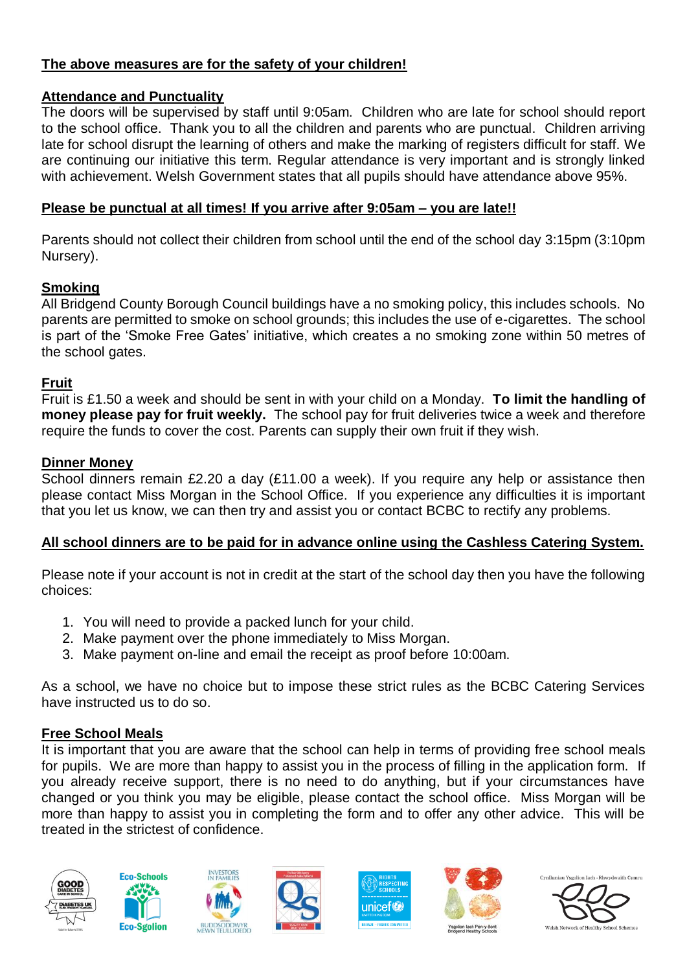# **The above measures are for the safety of your children!**

## **Attendance and Punctuality**

The doors will be supervised by staff until 9:05am. Children who are late for school should report to the school office. Thank you to all the children and parents who are punctual. Children arriving late for school disrupt the learning of others and make the marking of registers difficult for staff. We are continuing our initiative this term. Regular attendance is very important and is strongly linked with achievement. Welsh Government states that all pupils should have attendance above 95%.

### **Please be punctual at all times! If you arrive after 9:05am – you are late!!**

Parents should not collect their children from school until the end of the school day 3:15pm (3:10pm Nursery).

### **Smoking**

All Bridgend County Borough Council buildings have a no smoking policy, this includes schools. No parents are permitted to smoke on school grounds; this includes the use of e-cigarettes. The school is part of the 'Smoke Free Gates' initiative, which creates a no smoking zone within 50 metres of the school gates.

### **Fruit**

Fruit is £1.50 a week and should be sent in with your child on a Monday. **To limit the handling of money please pay for fruit weekly.** The school pay for fruit deliveries twice a week and therefore require the funds to cover the cost. Parents can supply their own fruit if they wish.

### **Dinner Money**

School dinners remain £2.20 a day (£11.00 a week). If you require any help or assistance then please contact Miss Morgan in the School Office. If you experience any difficulties it is important that you let us know, we can then try and assist you or contact BCBC to rectify any problems.

## **All school dinners are to be paid for in advance online using the Cashless Catering System.**

Please note if your account is not in credit at the start of the school day then you have the following choices:

- 1. You will need to provide a packed lunch for your child.
- 2. Make payment over the phone immediately to Miss Morgan.
- 3. Make payment on-line and email the receipt as proof before 10:00am.

As a school, we have no choice but to impose these strict rules as the BCBC Catering Services have instructed us to do so.

## **Free School Meals**

It is important that you are aware that the school can help in terms of providing free school meals for pupils. We are more than happy to assist you in the process of filling in the application form. If you already receive support, there is no need to do anything, but if your circumstances have changed or you think you may be eligible, please contact the school office. Miss Morgan will be more than happy to assist you in completing the form and to offer any other advice. This will be treated in the strictest of confidence.











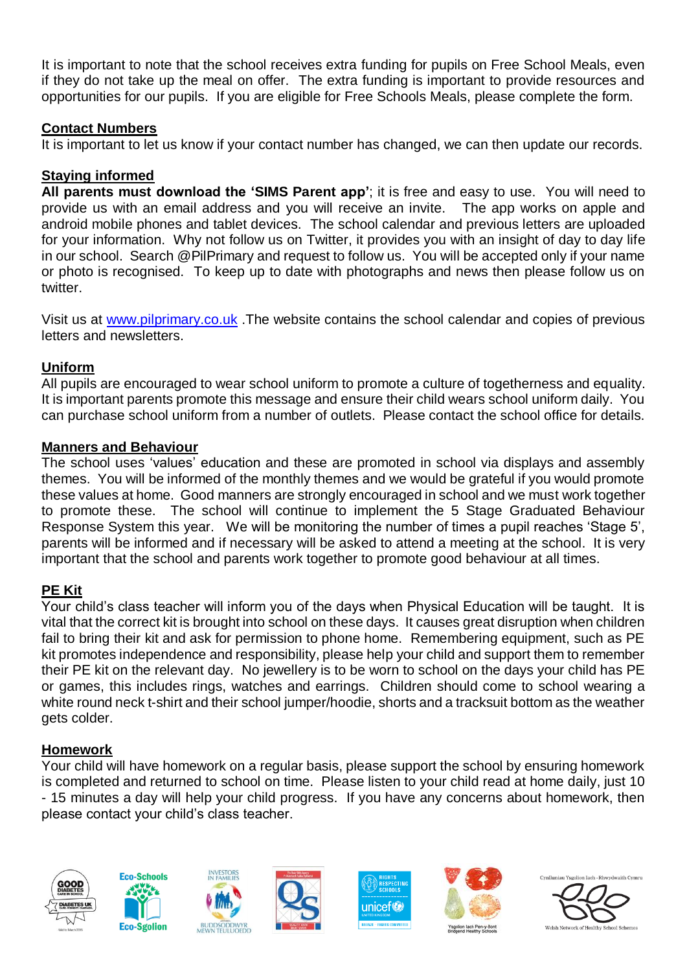It is important to note that the school receives extra funding for pupils on Free School Meals, even if they do not take up the meal on offer. The extra funding is important to provide resources and opportunities for our pupils. If you are eligible for Free Schools Meals, please complete the form.

#### **Contact Numbers**

It is important to let us know if your contact number has changed, we can then update our records.

## **Staying informed**

**All parents must download the 'SIMS Parent app'**; it is free and easy to use. You will need to provide us with an email address and you will receive an invite. The app works on apple and android mobile phones and tablet devices. The school calendar and previous letters are uploaded for your information. Why not follow us on Twitter, it provides you with an insight of day to day life in our school. Search @PilPrimary and request to follow us. You will be accepted only if your name or photo is recognised. To keep up to date with photographs and news then please follow us on twitter.

Visit us at [www.pilprimary.co.uk](http://www.pilprimary.co.uk/) .The website contains the school calendar and copies of previous letters and newsletters.

## **Uniform**

All pupils are encouraged to wear school uniform to promote a culture of togetherness and equality. It is important parents promote this message and ensure their child wears school uniform daily. You can purchase school uniform from a number of outlets. Please contact the school office for details.

### **Manners and Behaviour**

The school uses 'values' education and these are promoted in school via displays and assembly themes. You will be informed of the monthly themes and we would be grateful if you would promote these values at home. Good manners are strongly encouraged in school and we must work together to promote these. The school will continue to implement the 5 Stage Graduated Behaviour Response System this year. We will be monitoring the number of times a pupil reaches 'Stage 5', parents will be informed and if necessary will be asked to attend a meeting at the school. It is very important that the school and parents work together to promote good behaviour at all times.

## **PE Kit**

Your child's class teacher will inform you of the days when Physical Education will be taught. It is vital that the correct kit is brought into school on these days. It causes great disruption when children fail to bring their kit and ask for permission to phone home. Remembering equipment, such as PE kit promotes independence and responsibility, please help your child and support them to remember their PE kit on the relevant day. No jewellery is to be worn to school on the days your child has PE or games, this includes rings, watches and earrings. Children should come to school wearing a white round neck t-shirt and their school jumper/hoodie, shorts and a tracksuit bottom as the weather gets colder.

## **Homework**

Your child will have homework on a regular basis, please support the school by ensuring homework is completed and returned to school on time. Please listen to your child read at home daily, just 10 - 15 minutes a day will help your child progress. If you have any concerns about homework, then please contact your child's class teacher.